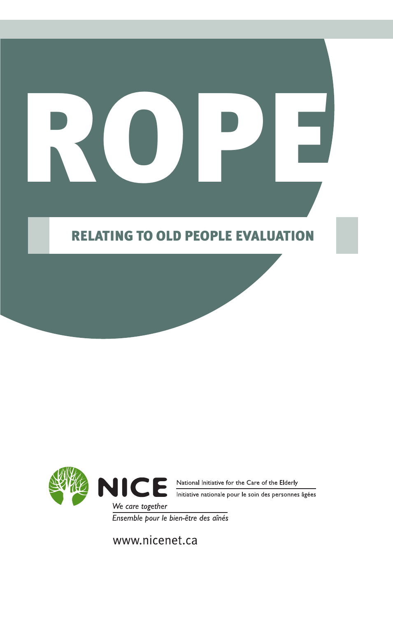# ROPE

### Relating to Old People Evaluation



Ensemble pour le bien-être des aînés

www.nicenet.ca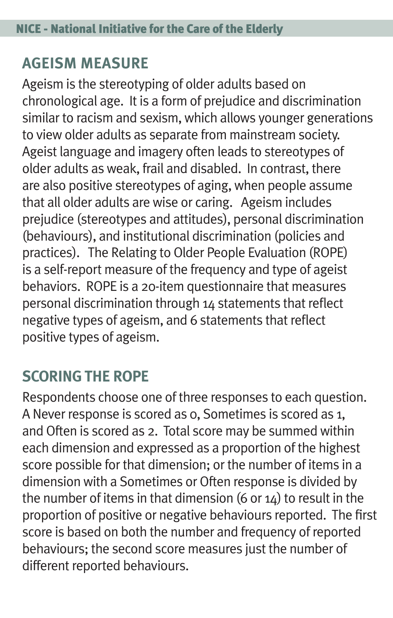# **Ageism Measure**

Ageism is the stereotyping of older adults based on chronological age. It is a form of prejudice and discrimination similar to racism and sexism, which allows younger generations to view older adults as separate from mainstream society. Ageist language and imagery often leads to stereotypes of older adults as weak, frail and disabled. In contrast, there are also positive stereotypes of aging, when people assume that all older adults are wise or caring. Ageism includes prejudice (stereotypes and attitudes), personal discrimination (behaviours), and institutional discrimination (policies and practices). The Relating to Older People Evaluation (ROPE) is a self-report measure of the frequency and type of ageist behaviors. ROPE is a 20-item questionnaire that measures personal discrimination through 14 statements that reflect negative types of ageism, and 6 statements that reflect positive types of ageism.

# **Scoring the ROPE**

Respondents choose one of three responses to each question. A Never response is scored as 0, Sometimes is scored as 1, and Often is scored as 2. Total score may be summed within each dimension and expressed as a proportion of the highest score possible for that dimension; or the number of items in a dimension with a Sometimes or Often response is divided by the number of items in that dimension  $(6$  or  $14)$  to result in the proportion of positive or negative behaviours reported. The first score is based on both the number and frequency of reported behaviours; the second score measures just the number of different reported behaviours.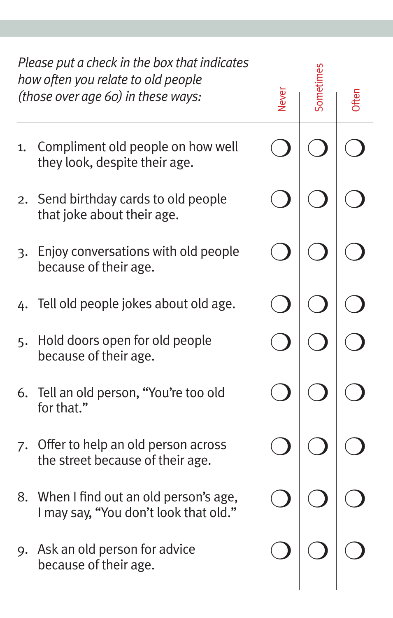| Please put a check in the box that indicates<br>how often you relate to old people<br>(those over age 60) in these ways: |                                                                                  | Vever |  |
|--------------------------------------------------------------------------------------------------------------------------|----------------------------------------------------------------------------------|-------|--|
| 1.                                                                                                                       | Compliment old people on how well<br>they look, despite their age.               |       |  |
|                                                                                                                          | 2. Send birthday cards to old people<br>that joke about their age.               |       |  |
| 3.                                                                                                                       | Enjoy conversations with old people<br>because of their age.                     |       |  |
|                                                                                                                          | 4. Tell old people jokes about old age.                                          |       |  |
| 5.                                                                                                                       | Hold doors open for old people<br>because of their age.                          |       |  |
|                                                                                                                          | 6. Tell an old person, "You're too old<br>for that."                             |       |  |
| 7.                                                                                                                       | Offer to help an old person across<br>the street because of their age.           |       |  |
|                                                                                                                          | 8. When I find out an old person's age,<br>I may say, "You don't look that old." |       |  |
| 9.                                                                                                                       | Ask an old person for advice<br>because of their age.                            |       |  |
|                                                                                                                          |                                                                                  |       |  |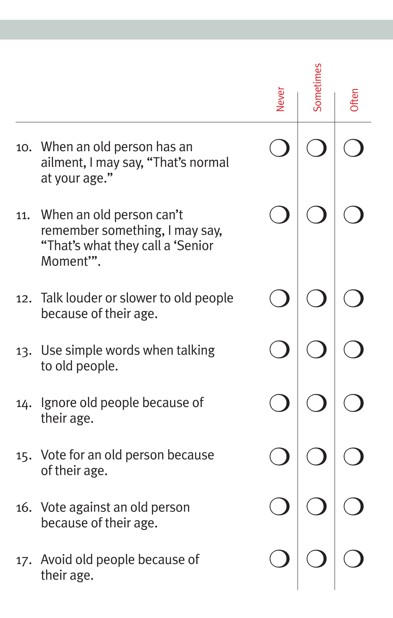|     |                                                                                                             | Never |  |  |  |
|-----|-------------------------------------------------------------------------------------------------------------|-------|--|--|--|
|     | 10. When an old person has an<br>ailment, I may say, "That's normal<br>at your age."                        |       |  |  |  |
| 11. | When an old person can't<br>remember something, I may say,<br>"That's what they call a 'Senior<br>Moment"". |       |  |  |  |
|     | 12. Talk louder or slower to old people<br>because of their age.                                            |       |  |  |  |
|     | 13. Use simple words when talking<br>to old people.                                                         |       |  |  |  |
| 14. | Ignore old people because of<br>their age.                                                                  |       |  |  |  |
|     | 15. Vote for an old person because<br>of their age.                                                         |       |  |  |  |
|     | 16. Vote against an old person<br>because of their age.                                                     |       |  |  |  |
|     | 17. Avoid old people because of<br>their age.                                                               |       |  |  |  |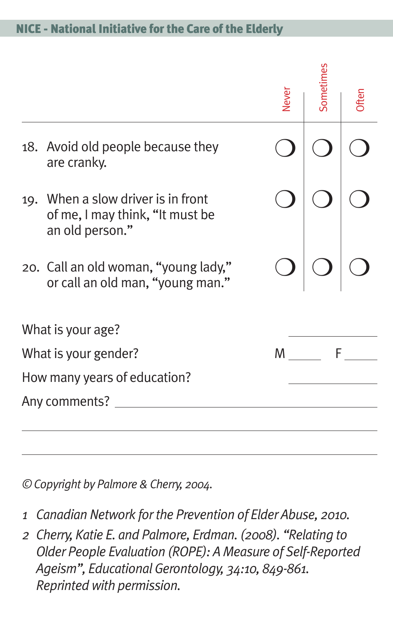#### NICE - National Initiative for the Care of the Elderly

|                      |                                                                                          | <b>Never</b> | Sometimes | <b>)ften</b> |
|----------------------|------------------------------------------------------------------------------------------|--------------|-----------|--------------|
|                      | 18. Avoid old people because they<br>are cranky.                                         |              |           |              |
|                      | 19. When a slow driver is in front<br>of me, I may think, "It must be<br>an old person." |              |           |              |
|                      | 20. Call an old woman, "young lady,"<br>or call an old man, "young man."                 |              |           |              |
|                      | What is your age?                                                                        |              |           |              |
| What is your gender? |                                                                                          | M            | F         |              |
|                      | How many years of education?                                                             |              |           |              |
|                      | Any comments?                                                                            |              |           |              |
|                      |                                                                                          |              |           |              |

*© Copyright by Palmore & Cherry, 2004.*

- *1 Canadian Network for the Prevention of Elder Abuse, 2010.*
- *2 Cherry, Katie E. and Palmore, Erdman. (2008). "Relating to Older People Evaluation (ROPE): A Measure of Self-Reported Ageism", Educational Gerontology, 34:10, 849-861. Reprinted with permission.*